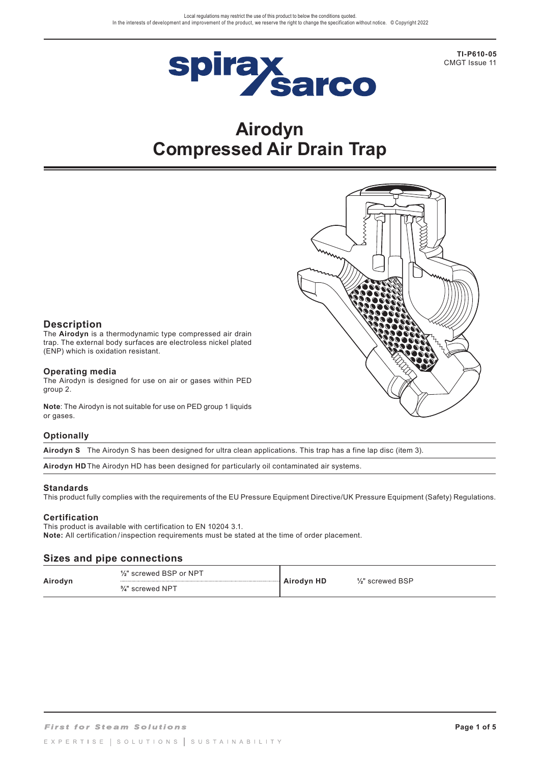

**TI-P610-05** CMGT Issue 11

# **Airodyn Compressed Air Drain Trap**



# **Description**

The **Airodyn** is a thermodynamic type compressed air drain trap. The external body surfaces are electroless nickel plated (ENP) which is oxidation resistant.

## **Operating media**

The Airodyn is designed for use on air or gases within PED group 2.

**Note**: The Airodyn is not suitable for use on PED group 1 liquids or gases.

# **Optionally**

**Airodyn S** The Airodyn S has been designed for ultra clean applications. This trap has a fine lap disc (item 3).

**Airodyn HD** The Airodyn HD has been designed for particularly oil contaminated air systems.

# **Standards**

This product fully complies with the requirements of the EU Pressure Equipment Directive/UK Pressure Equipment (Safety) Regulations.

# **Certification**

This product is available with certification to EN 10204 3.1. **Note:** All certification / inspection requirements must be stated at the time of order placement.

# **Sizes and pipe connections**

| Airodyn | 1/ <sub>2</sub> " screwed BSP or NPT<br><br>$\frac{3}{4}$ " screwed NPT | Airodyn HD | $\frac{1}{2}$ " screwed BSP |
|---------|-------------------------------------------------------------------------|------------|-----------------------------|
|---------|-------------------------------------------------------------------------|------------|-----------------------------|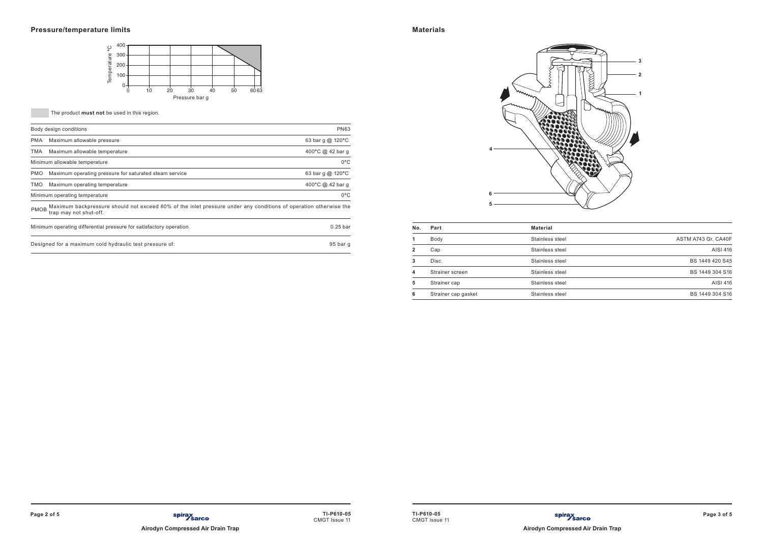

**The product must not** be used in this region.

|             | Body design conditions                                                                                                                     | <b>PN63</b>         |
|-------------|--------------------------------------------------------------------------------------------------------------------------------------------|---------------------|
| <b>PMA</b>  | Maximum allowable pressure                                                                                                                 | 63 bar g $@$ 120 °C |
| TMA         | Maximum allowable temperature                                                                                                              | 400°C @ 42 bar q    |
|             | Minimum allowable temperature                                                                                                              | $0^{\circ}$ C       |
| <b>PMO</b>  | Maximum operating pressure for saturated steam service                                                                                     | 63 bar g $@$ 120 °C |
| TMO         | Maximum operating temperature                                                                                                              | 400°C @ 42 bar q    |
|             | Minimum operating temperature                                                                                                              | $0^{\circ}$ C       |
| <b>PMOB</b> | Maximum backpressure should not exceed 80% of the inlet pressure under any conditions of operation otherwise the<br>trap may not shut-off. |                     |
|             | Minimum operating differential pressure for satisfactory operation                                                                         | $0.25$ bar          |
|             | Designed for a maximum cold hydraulic test pressure of:                                                                                    | 95 bar g            |

| No.          | Part                | <b>Material</b> |                     |
|--------------|---------------------|-----------------|---------------------|
|              | Body                | Stainless steel | ASTM A743 Gr. CA40F |
| $\mathbf{2}$ | Cap                 | Stainless steel | AISI 416            |
| 3            | <b>Disc</b>         | Stainless steel | BS 1449 420 S45     |
| 4            | Strainer screen     | Stainless steel | BS 1449 304 S16     |
| 5            | Strainer cap        | Stainless steel | AISI 416            |
| 6            | Strainer cap gasket | Stainless steel | BS 1449 304 S16     |